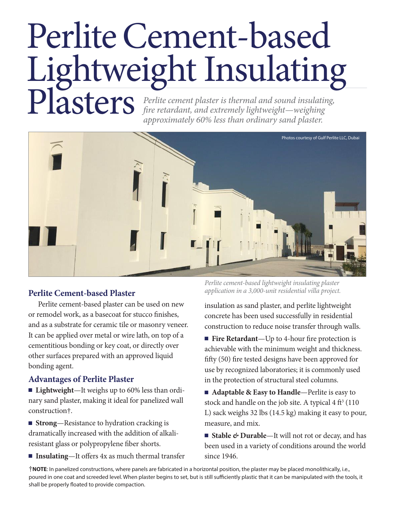# Perlite Cement-based Lightweight Insulating

**Plasters** *Perlite cement plaster is thermal and sound insulating, perlite cement plaster is thermal and sound insulating, approximately 60% less than ordinary sand plaster. re retardant, and extremely lightweight—weighing approximately 60% less than ordinary sand plaster.*



### **Perlite Cement-based Plaster**

Perlite cement-based plaster can be used on new or remodel work, as a basecoat for stucco finishes, and as a substrate for ceramic tile or masonry veneer. It can be applied over metal or wire lath, on top of a cementitious bonding or key coat, or directly over other surfaces prepared with an approved liquid bonding agent.

#### **Advantages of Perlite Plaster**

■ **Lightweight**—It weighs up to 60% less than ordinary sand plaster, making it ideal for panelized wall construction†.

■ **Strong**—Resistance to hydration cracking is dramatically increased with the addition of alkaliresistant glass or polypropylene fiber shorts.

■ **Insulating**—It offers 4x as much thermal transfer

*Perlite cement-based lightweight insulating plaster application in a 3,000-unit residential villa project.*

insulation as sand plaster, and perlite lightweight concrete has been used successfully in residential construction to reduce noise transfer through walls.

- **Fire Retardant**—Up to 4-hour fire protection is achievable with the minimum weight and thickness. fifty  $(50)$  fire tested designs have been approved for use by recognized laboratories; it is commonly used in the protection of structural steel columns.
- **Adaptable & Easy to Handle**—Perlite is easy to stock and handle on the job site. A typical  $4 \text{ ft}^3$  (110 L) sack weighs 32 lbs (14.5 kg) making it easy to pour, measure, and mix.
- **Stable & Durable**—It will not rot or decay, and has been used in a variety of conditions around the world since 1946.

†**NOTE**: In panelized constructions, where panels are fabricated in a horizontal position, the plaster may be placed monolithically, i.e., poured in one coat and screeded level. When plaster begins to set, but is still sufficiently plastic that it can be manipulated with the tools, it shall be properly floated to provide compaction.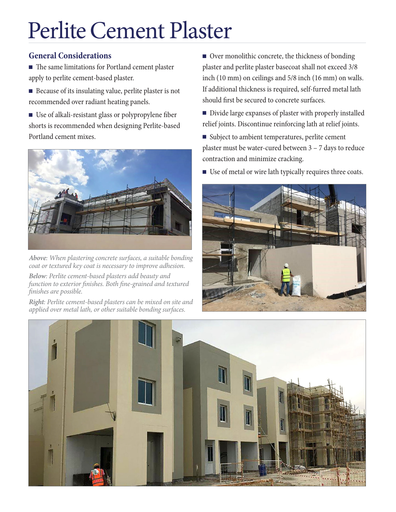### Perlite Cement Plaster

### **General Considerations**

- $\blacksquare$  The same limitations for Portland cement plaster apply to perlite cement-based plaster.
- Because of its insulating value, perlite plaster is not recommended over radiant heating panels.
- Use of alkali-resistant glass or polypropylene fiber shorts is recommended when designing Perlite-based Portland cement mixes.



*Above: When plastering concrete surfaces, a suitable bonding coat or textured key coat is necessary to improve adhesion.*

*Below: Perlite cement-based plasters add beauty and*  function to exterior finishes. Both fine-grained and textured *nishes are possible.*

*Right: Perlite cement-based plasters can be mixed on site and applied over metal lath, or other suitable bonding surfaces.* 

■ Over monolithic concrete, the thickness of bonding plaster and perlite plaster basecoat shall not exceed 3/8 inch (10 mm) on ceilings and 5/8 inch (16 mm) on walls. If additional thickness is required, self-furred metal lath should first be secured to concrete surfaces.

- Divide large expanses of plaster with properly installed relief joints. Discontinue reinforcing lath at relief joints.
- Subject to ambient temperatures, perlite cement plaster must be water-cured between 3 – 7 days to reduce contraction and minimize cracking.
- Use of metal or wire lath typically requires three coats.